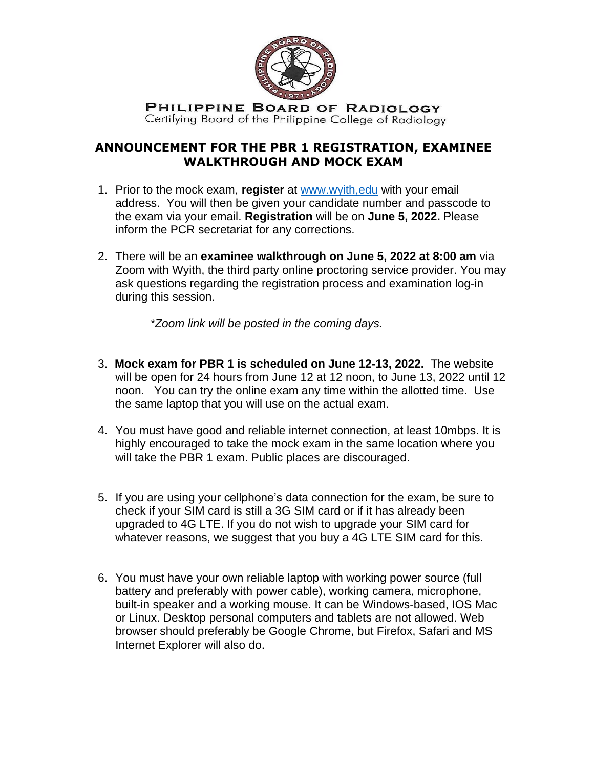

PHILIPPINE BOARD OF RADIOLOGY Certifying Board of the Philippine College of Radiology

## **ANNOUNCEMENT FOR THE PBR 1 REGISTRATION, EXAMINEE WALKTHROUGH AND MOCK EXAM**

- 1. Prior to the mock exam, **register** at [www.wyith,edu](http://www.wyith,edu/) with your email address. You will then be given your candidate number and passcode to the exam via your email. **Registration** will be on **June 5, 2022.** Please inform the PCR secretariat for any corrections.
- 2. There will be an **examinee walkthrough on June 5, 2022 at 8:00 am** via Zoom with Wyith, the third party online proctoring service provider. You may ask questions regarding the registration process and examination log-in during this session.

*\*Zoom link will be posted in the coming days.* 

- 3. **Mock exam for PBR 1 is scheduled on June 12-13, 2022.** The website will be open for 24 hours from June 12 at 12 noon, to June 13, 2022 until 12 noon. You can try the online exam any time within the allotted time. Use the same laptop that you will use on the actual exam.
- 4. You must have good and reliable internet connection, at least 10mbps. It is highly encouraged to take the mock exam in the same location where you will take the PBR 1 exam. Public places are discouraged.
- 5. If you are using your cellphone's data connection for the exam, be sure to check if your SIM card is still a 3G SIM card or if it has already been upgraded to 4G LTE. If you do not wish to upgrade your SIM card for whatever reasons, we suggest that you buy a 4G LTE SIM card for this.
- 6. You must have your own reliable laptop with working power source (full battery and preferably with power cable), working camera, microphone, built-in speaker and a working mouse. It can be Windows-based, IOS Mac or Linux. Desktop personal computers and tablets are not allowed. Web browser should preferably be Google Chrome, but Firefox, Safari and MS Internet Explorer will also do.